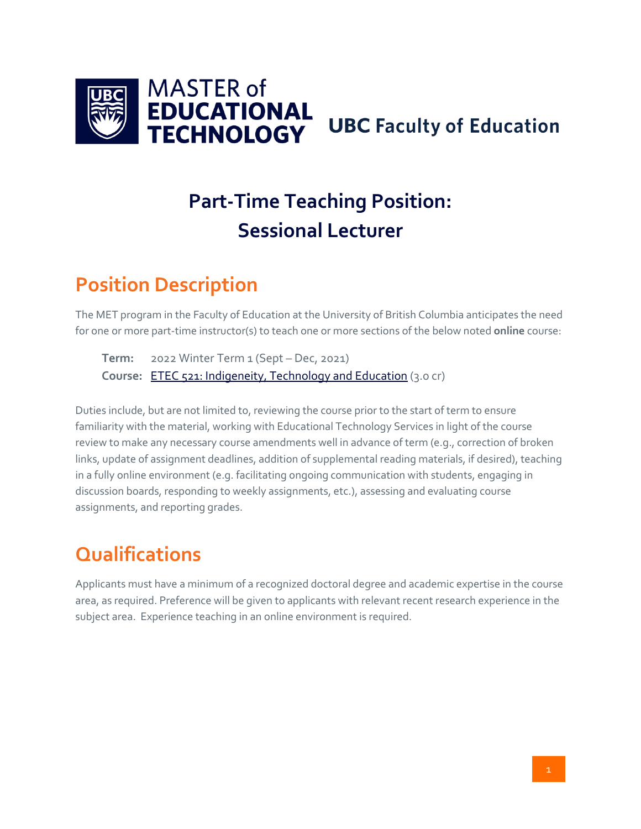

# **Part-Time Teaching Position: Sessional Lecturer**

#### **Position Description**

The MET program in the Faculty of Education at the University of British Columbia anticipates the need for one or more part-time instructor(s) to teach one or more sections of the below noted **online** course:

**Term:** 2022 Winter Term 1 (Sept – Dec, 2021) **Course:** [ETEC 521: Indigeneity, Technology and Education](https://met.ubc.ca/courses/etec-521/) (3.0 cr)

Duties include, but are not limited to, reviewing the course prior to the start of term to ensure familiarity with the material, working with Educational Technology Services in light of the course review to make any necessary course amendments well in advance of term (e.g., correction of broken links, update of assignment deadlines, addition of supplemental reading materials, if desired), teaching in a fully online environment (e.g. facilitating ongoing communication with students, engaging in discussion boards, responding to weekly assignments, etc.), assessing and evaluating course assignments, and reporting grades.

#### **Qualifications**

Applicants must have a minimum of a recognized doctoral degree and academic expertise in the course area, as required. Preference will be given to applicants with relevant recent research experience in the subject area. Experience teaching in an online environment is required.